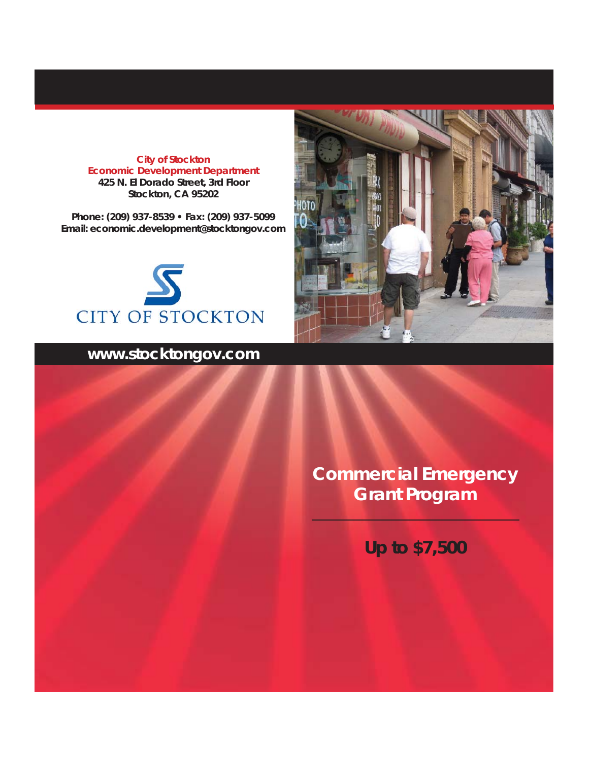**City of Stockton Economic Development Department 425 N. El Dorado Street, 3rd Floor Stockton, CA 95202**

**Phone: (209) 937-8539 • Fax: (209) 937-5099 Email: economic.development@stocktongov.com**



## **www.stocktongov.com**



**Commercial Emergency Grant Program**

**Up to \$7,500**